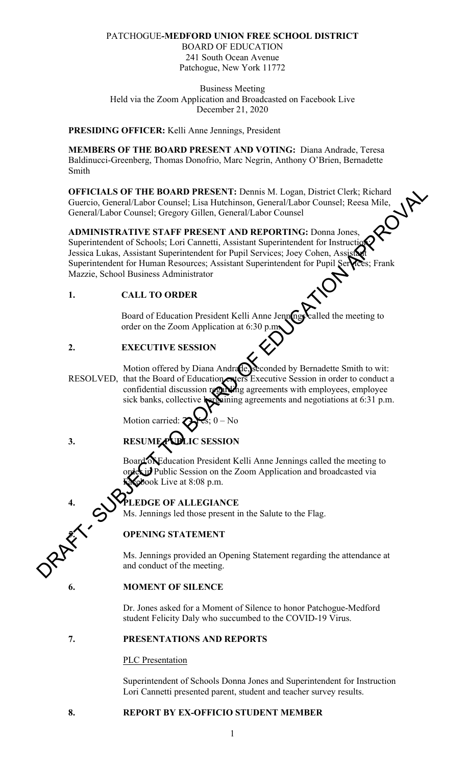#### PATCHOGUE**-MEDFORD UNION FREE SCHOOL DISTRICT**

BOARD OF EDUCATION 241 South Ocean Avenue Patchogue, New York 11772

Business Meeting Held via the Zoom Application and Broadcasted on Facebook Live December 21, 2020

#### **PRESIDING OFFICER:** Kelli Anne Jennings, President

**MEMBERS OF THE BOARD PRESENT AND VOTING:** Diana Andrade, Teresa Baldinucci-Greenberg, Thomas Donofrio, Marc Negrin, Anthony O'Brien, Bernadette Smith

**OFFICIALS OF THE BOARD PRESENT:** Dennis M. Logan, District Clerk; Richard Guercio, General/Labor Counsel; Lisa Hutchinson, General/Labor Counsel; Reesa Mile, General/Labor Counsel; Gregory Gillen, General/Labor Counsel

# **ADMINISTRATIVE STAFF PRESENT AND REPORTING:** Donna Jones, Superintendent of Schools; Lori Cannetti, Assistant Superintendent for Instruction Jessica Lukas, Assistant Superintendent for Pupil Services; Joey Cohen, Assistant Superintendent for Human Resources; Assistant Superintendent for Pupil Services; Frank Mazzie, School Business Administrator OFFICIALS OF THE BOARD PRESENT: Demis M. Logan, District Cick; Risland<br>General/Labor Counsel; Lisa Hutchinson, General/Labor Counsel; Reesa Mile,<br>General/Labor Counsel; Gregory Gillen, General/Labor Counsel; Gregory Gille

### **1. CALL TO ORDER**

Board of Education President Kelli Anne Jennings called the meeting to order on the Zoom Application at 6:30 p.

## **2. EXECUTIVE SESSION**

Motion offered by Diana Andrade, seconded by Bernadette Smith to wit: RESOLVED, that the Board of Education enters Executive Session in order to conduct a confidential discussion regarding agreements with employees, employee sick banks, collective bargaining agreements and negotiations at 6:31 p.m.

Motion carried

## **3. RESUME PUBLIC SESSION**

Board of Education President Kelli Anne Jennings called the meeting to order in Public Session on the Zoom Application and broadcasted via book Live at  $8:08$  p.m.

## **4. PLEDGE OF ALLEGIANCE**

Ms. Jennings led those present in the Salute to the Flag.

## **5. OPENING STATEMENT**

Ms. Jennings provided an Opening Statement regarding the attendance at and conduct of the meeting.

#### **6. MOMENT OF SILENCE**

Dr. Jones asked for a Moment of Silence to honor Patchogue-Medford student Felicity Daly who succumbed to the COVID-19 Virus.

#### **7. PRESENTATIONS AND REPORTS**

PLC Presentation

 Superintendent of Schools Donna Jones and Superintendent for Instruction Lori Cannetti presented parent, student and teacher survey results.

#### **8. REPORT BY EX-OFFICIO STUDENT MEMBER**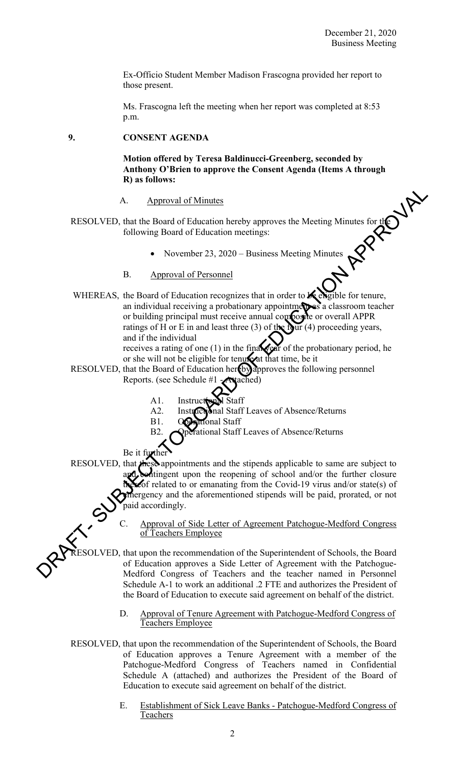Ex-Officio Student Member Madison Frascogna provided her report to those present.

 Ms. Frascogna left the meeting when her report was completed at 8:53 p.m.

#### **9. CONSENT AGENDA**

**Motion offered by Teresa Baldinucci-Greenberg, seconded by Anthony O'Brien to approve the Consent Agenda (Items A through R) as follows:** 

#### A. Approval of Minutes

- RESOLVED, that the Board of Education hereby approves the Meeting Minutes for the following Board of Education meetings:
	- November 23, 2020 Business Meeting Minutes
	- B. Approval of Personnel
- WHEREAS, the Board of Education recognizes that in order to  $\mathcal{K}$  eligible for tenure, an individual receiving a probationary appointments a classroom teacher or building principal must receive annual composite or overall APPR ratings of H or E in and least three (3) of the four (4) proceeding years, and if the individual receives a rating of one (1) in the final year of the probationary period, he A. Approval of Minutes<br>
RESOLVED, that the Board of Education hereby approves the Meeting Minutes for the<br>
following Board of Education meetings:<br>
• November 23, 2020 – Business Meeting Minutes<br>
B. Approval of Personnel<br>

or she will not be eligible for tenure at that time, be it

- RESOLVED, that the Board of Education hereby approves the following personnel Reports. (see Schedule #1 - **Attached)** 
	- A1. Instruction
	- A2. Instructional Staff Leaves of Absence/Returns
	- B1. Operational Staff

B2. **Operational Staff Leaves of Absence/Returns** 

Be it further

RESOLVED, that these appointments and the stipends applicable to same are subject to and contingent upon the reopening of school and/or the further closure  $\mathscr{A}$  of related to or emanating from the Covid-19 virus and/or state(s) of emergency and the aforementioned stipends will be paid, prorated, or not paid accordingly.

> Approval of Side Letter of Agreement Patchogue-Medford Congress of Teachers Employee

RESOLVED, that upon the recommendation of the Superintendent of Schools, the Board of Education approves a Side Letter of Agreement with the Patchogue-Medford Congress of Teachers and the teacher named in Personnel Schedule A-1 to work an additional .2 FTE and authorizes the President of the Board of Education to execute said agreement on behalf of the district.

- D. Approval of Tenure Agreement with Patchogue-Medford Congress of Teachers Employee
- RESOLVED, that upon the recommendation of the Superintendent of Schools, the Board of Education approves a Tenure Agreement with a member of the Patchogue-Medford Congress of Teachers named in Confidential Schedule A (attached) and authorizes the President of the Board of Education to execute said agreement on behalf of the district.
	- E. Establishment of Sick Leave Banks Patchogue-Medford Congress of Teachers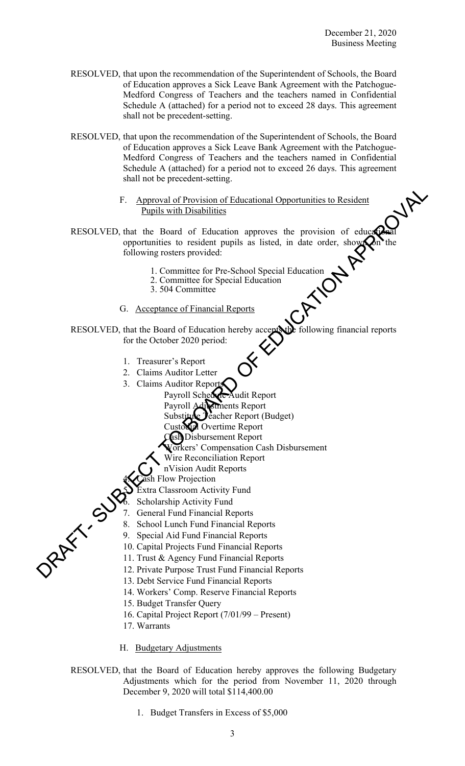- RESOLVED, that upon the recommendation of the Superintendent of Schools, the Board of Education approves a Sick Leave Bank Agreement with the Patchogue-Medford Congress of Teachers and the teachers named in Confidential Schedule A (attached) for a period not to exceed 28 days. This agreement shall not be precedent-setting.
- RESOLVED, that upon the recommendation of the Superintendent of Schools, the Board of Education approves a Sick Leave Bank Agreement with the Patchogue-Medford Congress of Teachers and the teachers named in Confidential Schedule A (attached) for a period not to exceed 26 days. This agreement shall not be precedent-setting.
	- F. Approval of Provision of Educational Opportunities to Resident Pupils with Disabilities
- RESOLVED, that the Board of Education approves the provision of educational opportunities to resident pupils as listed, in date order, shown on the following rosters provided: F. Approval of Provision of Educational Opportunities to Resident<br>
RESOLVED. that the Board of Education approves the provision of cotons<br>
opportunities to resident pupils as listed, in date order, show<br>
following rosters
	- 1. Committee for Pre-School Special Education
	- 2. Committee for Special Education
	- 3. 504 Committee
	- G. Acceptance of Financial Reports

RESOLVED, that the Board of Education hereby accepts the following financial reports for the October 2020 period:

- 1. Treasurer's Report
- 2. Claims Auditor Letter
- 3. Claims Auditor Report
	- Payroll Schedule Audit Report
	- Payroll Adjustments Report
	- Substitute Jeacher Report (Budget)
	- Custodial Overtime Report
	- Cash Disbursement Report
	- **Vorkers' Compensation Cash Disbursement**
	- Wire Reconciliation Report
	- nVision Audit Reports
	- Flow Projection
	- 5. Extra Classroom Activity Fund
	- Scholarship Activity Fund
- General Fund Financial Reports
- 8. School Lunch Fund Financial Reports
- 9. Special Aid Fund Financial Reports
- 10. Capital Projects Fund Financial Reports
- 11. Trust & Agency Fund Financial Reports
- 12. Private Purpose Trust Fund Financial Reports
- 13. Debt Service Fund Financial Reports
- 14. Workers' Comp. Reserve Financial Reports
- 15. Budget Transfer Query
- 16. Capital Project Report (7/01/99 Present)
- 17. Warrants
- H. Budgetary Adjustments
- RESOLVED, that the Board of Education hereby approves the following Budgetary Adjustments which for the period from November 11, 2020 through December 9, 2020 will total \$114,400.00
	- 1. Budget Transfers in Excess of \$5,000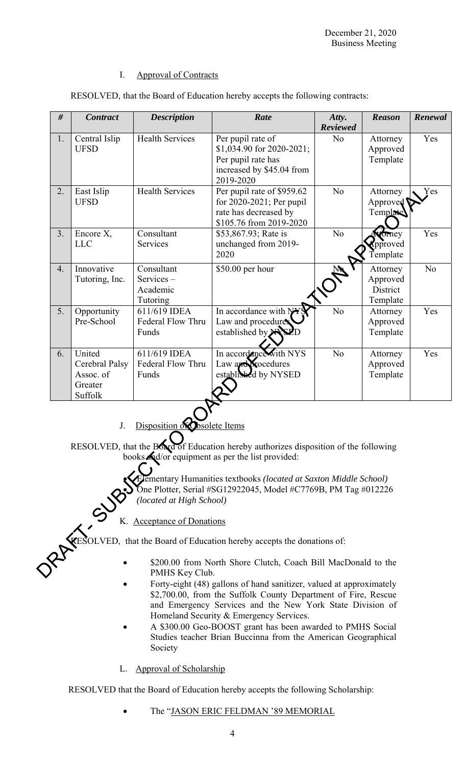#### I. Approval of Contracts

| #  | <b>Contract</b>                                             | <b>Description</b>                                       | Rate                                                                                                                                                                                                                                                                           | Atty.<br><b>Reviewed</b> | <b>Reason</b>                                | Renewal        |
|----|-------------------------------------------------------------|----------------------------------------------------------|--------------------------------------------------------------------------------------------------------------------------------------------------------------------------------------------------------------------------------------------------------------------------------|--------------------------|----------------------------------------------|----------------|
| 1. | Central Islip<br><b>UFSD</b>                                | <b>Health Services</b>                                   | Per pupil rate of<br>\$1,034.90 for 2020-2021;<br>Per pupil rate has<br>increased by \$45.04 from<br>2019-2020                                                                                                                                                                 | N <sub>o</sub>           | Attorney<br>Approved<br>Template             | Yes            |
| 2. | East Islip<br><b>UFSD</b>                                   | <b>Health Services</b>                                   | Per pupil rate of \$959.62<br>for 2020-2021; Per pupil<br>rate has decreased by<br>\$105.76 from 2019-2020                                                                                                                                                                     | No                       | Attorney<br>Approved<br>Template             | Yes            |
| 3. | Encore X,<br><b>LLC</b>                                     | Consultant<br>Services                                   | \$53,867.93; Rate is<br>unchanged from 2019-<br>2020                                                                                                                                                                                                                           | N <sub>o</sub>           | tomey<br><b>Xpproved</b><br>Template         | Yes            |
| 4. | Innovative<br>Tutoring, Inc.                                | Consultant<br>Services-<br>Academic<br>Tutoring          | \$50.00 per hour                                                                                                                                                                                                                                                               |                          | Attorney<br>Approved<br>District<br>Template | N <sub>o</sub> |
| 5. | Opportunity<br>Pre-School                                   | 611/619 IDEA<br>Federal Flow Thru<br>Funds               | In accordance with NY<br>Law and procedures<br>established by XX                                                                                                                                                                                                               | No                       | Attorney<br>Approved<br>Template             | Yes            |
| 6. | United<br>Cerebral Palsy<br>Assoc. of<br>Greater<br>Suffolk | 611/619 IDEA<br>Federal Flow Thru<br>Funds               | In accordance with NYS<br>Law and <b>N</b> ocedures<br>established by NYSED                                                                                                                                                                                                    | N <sub>o</sub>           | Attorney<br>Approved<br>Template             | Yes            |
|    | J.                                                          | Disposition of Osolete Items<br>(located at High School) | RESOLVED, that the Board of Education hereby authorizes disposition of the following<br>books Ad/or equipment as per the list provided:<br>Elementary Humanities textbooks (located at Saxton Middle School)<br>One Plotter, Serial #SG12922045, Model #C7769B, PM Tag #012226 |                          |                                              |                |
|    |                                                             | K. Acceptance of Donations                               |                                                                                                                                                                                                                                                                                |                          |                                              |                |
|    |                                                             |                                                          | RESOLVED, that the Board of Education hereby accepts the donations of:                                                                                                                                                                                                         |                          |                                              |                |
|    |                                                             | PMHS Key Club.                                           | \$200.00 from North Shore Clutch, Coach Bill MacDonald to the                                                                                                                                                                                                                  |                          |                                              |                |

RESOLVED, that the Board of Education hereby accepts the following contracts:

## K. Acceptance of Donations

- \$200.00 from North Shore Clutch, Coach Bill MacDonald to the PMHS Key Club.
- Forty-eight (48) gallons of hand sanitizer, valued at approximately \$2,700.00, from the Suffolk County Department of Fire, Rescue and Emergency Services and the New York State Division of Homeland Security & Emergency Services.
- A \$300.00 Geo-BOOST grant has been awarded to PMHS Social Studies teacher Brian Buccinna from the American Geographical Society
- L. Approval of Scholarship

RESOLVED that the Board of Education hereby accepts the following Scholarship:

The "JASON ERIC FELDMAN '89 MEMORIAL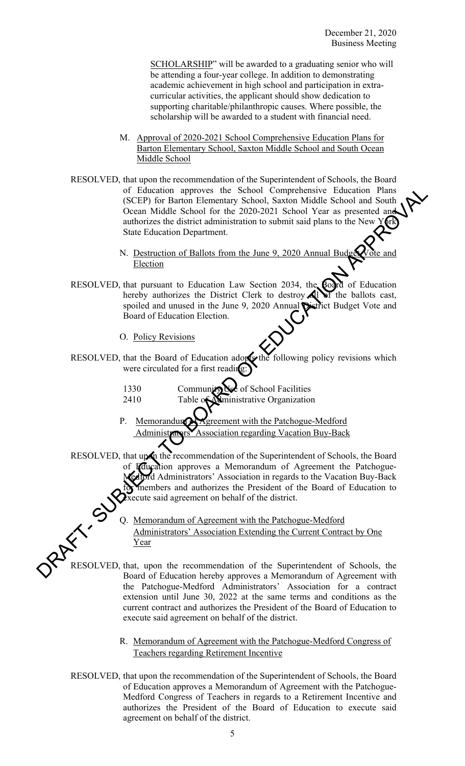SCHOLARSHIP" will be awarded to a graduating senior who will be attending a four-year college. In addition to demonstrating academic achievement in high school and participation in extracurricular activities, the applicant should show dedication to supporting charitable/philanthropic causes. Where possible, the scholarship will be awarded to a student with financial need.

- M. Approval of 2020-2021 School Comprehensive Education Plans for Barton Elementary School, Saxton Middle School and South Ocean Middle School
- RESOLVED, that upon the recommendation of the Superintendent of Schools, the Board of Education approves the School Comprehensive Education Plans (SCEP) for Barton Elementary School, Saxton Middle School and South Ocean Middle School for the 2020-2021 School Year as presented and authorizes the district administration to submit said plans to the New State Education Department. of Education approvas the School Comprehensive Encora Channel Middle School and South (SCEP) for Barton Elementary School, Saxton Middle School and South (Scene Middle School and South (Scene Middle School and South and n
	- N. Destruction of Ballots from the June 9, 2020 Annual Budget **Election**
	- RESOLVED, that pursuant to Education Law Section 2034, the Board of Education hereby authorizes the District Clerk to destroy  $\mathbf{A}$  of the ballots cast, spoiled and unused in the June 9, 2020 Annual District Budget Vote and Board of Education Election.
		- O. Policy Revisions
	- RESOLVED, that the Board of Education adopts the following policy revisions which were circulated for a first reading:
		- 1330 Community Use of School Facilities
		- 2410 Table of Alministrative Organization
		- P. Memorandum **of Agreement with the Patchogue-Medford** ociation regarding Vacation Buy-Back

RESOLVED, that upon the recommendation of the Superintendent of Schools, the Board **Ifducation** approves a Memorandum of Agreement the Patchogue-Mrd Administrators' Association in regards to the Vacation Buy-Back for members and authorizes the President of the Board of Education to execute said agreement on behalf of the district.

> Q. Memorandum of Agreement with the Patchogue-Medford Administrators' Association Extending the Current Contract by One Year

RESOLVED, that, upon the recommendation of the Superintendent of Schools, the Board of Education hereby approves a Memorandum of Agreement with the Patchogue-Medford Administrators' Association for a contract extension until June 30, 2022 at the same terms and conditions as the current contract and authorizes the President of the Board of Education to execute said agreement on behalf of the district.

> R. Memorandum of Agreement with the Patchogue-Medford Congress of Teachers regarding Retirement Incentive

 RESOLVED, that upon the recommendation of the Superintendent of Schools, the Board of Education approves a Memorandum of Agreement with the Patchogue-Medford Congress of Teachers in regards to a Retirement Incentive and authorizes the President of the Board of Education to execute said agreement on behalf of the district.